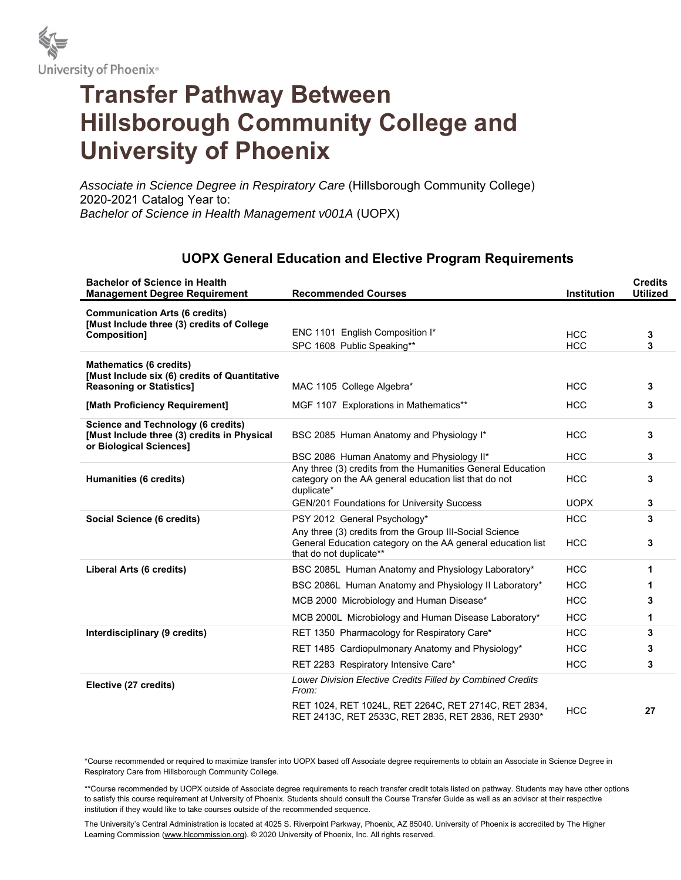

## **Transfer Pathway Between Hillsborough Community College and University of Phoenix**

*Associate in Science Degree in Respiratory Care* (Hillsborough Community College) 2020-2021 Catalog Year to: *Bachelor of Science in Health Management v001A* (UOPX)

## **UOPX General Education and Elective Program Requirements**

| <b>Bachelor of Science in Health</b><br><b>Management Degree Requirement</b>                                        | <b>Recommended Courses</b>                                                                                                                                                                                                    | <b>Institution</b>                      | <b>Credits</b><br><b>Utilized</b> |
|---------------------------------------------------------------------------------------------------------------------|-------------------------------------------------------------------------------------------------------------------------------------------------------------------------------------------------------------------------------|-----------------------------------------|-----------------------------------|
| <b>Communication Arts (6 credits)</b><br>[Must Include three (3) credits of College<br>Composition]                 | ENC 1101 English Composition I*<br>SPC 1608 Public Speaking**                                                                                                                                                                 | <b>HCC</b><br><b>HCC</b>                | 3<br>3                            |
| <b>Mathematics (6 credits)</b><br>[Must Include six (6) credits of Quantitative<br><b>Reasoning or Statistics]</b>  | MAC 1105 College Algebra*                                                                                                                                                                                                     | <b>HCC</b>                              | 3                                 |
| [Math Proficiency Requirement]                                                                                      | MGF 1107 Explorations in Mathematics**                                                                                                                                                                                        | <b>HCC</b>                              | 3                                 |
| <b>Science and Technology (6 credits)</b><br>[Must Include three (3) credits in Physical<br>or Biological Sciences] | BSC 2085 Human Anatomy and Physiology I*                                                                                                                                                                                      | <b>HCC</b>                              | 3                                 |
| Humanities (6 credits)                                                                                              | BSC 2086 Human Anatomy and Physiology II*<br>Any three (3) credits from the Humanities General Education<br>category on the AA general education list that do not<br>duplicate*<br>GEN/201 Foundations for University Success | <b>HCC</b><br><b>HCC</b><br><b>UOPX</b> | 3<br>3<br>3                       |
| Social Science (6 credits)                                                                                          | PSY 2012 General Psychology*                                                                                                                                                                                                  | <b>HCC</b>                              | 3                                 |
|                                                                                                                     | Any three (3) credits from the Group III-Social Science<br>General Education category on the AA general education list<br>that do not duplicate**                                                                             | <b>HCC</b>                              | 3                                 |
| Liberal Arts (6 credits)                                                                                            | BSC 2085L Human Anatomy and Physiology Laboratory*                                                                                                                                                                            | <b>HCC</b>                              | 1                                 |
|                                                                                                                     | BSC 2086L Human Anatomy and Physiology II Laboratory*                                                                                                                                                                         | <b>HCC</b>                              | 1                                 |
|                                                                                                                     | MCB 2000 Microbiology and Human Disease*                                                                                                                                                                                      | <b>HCC</b>                              | 3                                 |
|                                                                                                                     | MCB 2000L Microbiology and Human Disease Laboratory*                                                                                                                                                                          | <b>HCC</b>                              | 1                                 |
| Interdisciplinary (9 credits)                                                                                       | RET 1350 Pharmacology for Respiratory Care*                                                                                                                                                                                   | <b>HCC</b>                              | 3                                 |
|                                                                                                                     | RET 1485 Cardiopulmonary Anatomy and Physiology*                                                                                                                                                                              | <b>HCC</b>                              | 3                                 |
|                                                                                                                     | RET 2283 Respiratory Intensive Care*                                                                                                                                                                                          | <b>HCC</b>                              | 3                                 |
| Elective (27 credits)                                                                                               | Lower Division Elective Credits Filled by Combined Credits<br>From:                                                                                                                                                           |                                         |                                   |
|                                                                                                                     | RET 1024, RET 1024L, RET 2264C, RET 2714C, RET 2834,<br>RET 2413C, RET 2533C, RET 2835, RET 2836, RET 2930*                                                                                                                   | <b>HCC</b>                              | 27                                |

\*Course recommended or required to maximize transfer into UOPX based off Associate degree requirements to obtain an Associate in Science Degree in Respiratory Care from Hillsborough Community College.

\*\*Course recommended by UOPX outside of Associate degree requirements to reach transfer credit totals listed on pathway. Students may have other options to satisfy this course requirement at University of Phoenix. Students should consult the Course Transfer Guide as well as an advisor at their respective institution if they would like to take courses outside of the recommended sequence.

The University's Central Administration is located at 4025 S. Riverpoint Parkway, Phoenix, AZ 85040. University of Phoenix is accredited by The Higher Learning Commission (www.hlcommission.org). © 2020 University of Phoenix, Inc. All rights reserved.